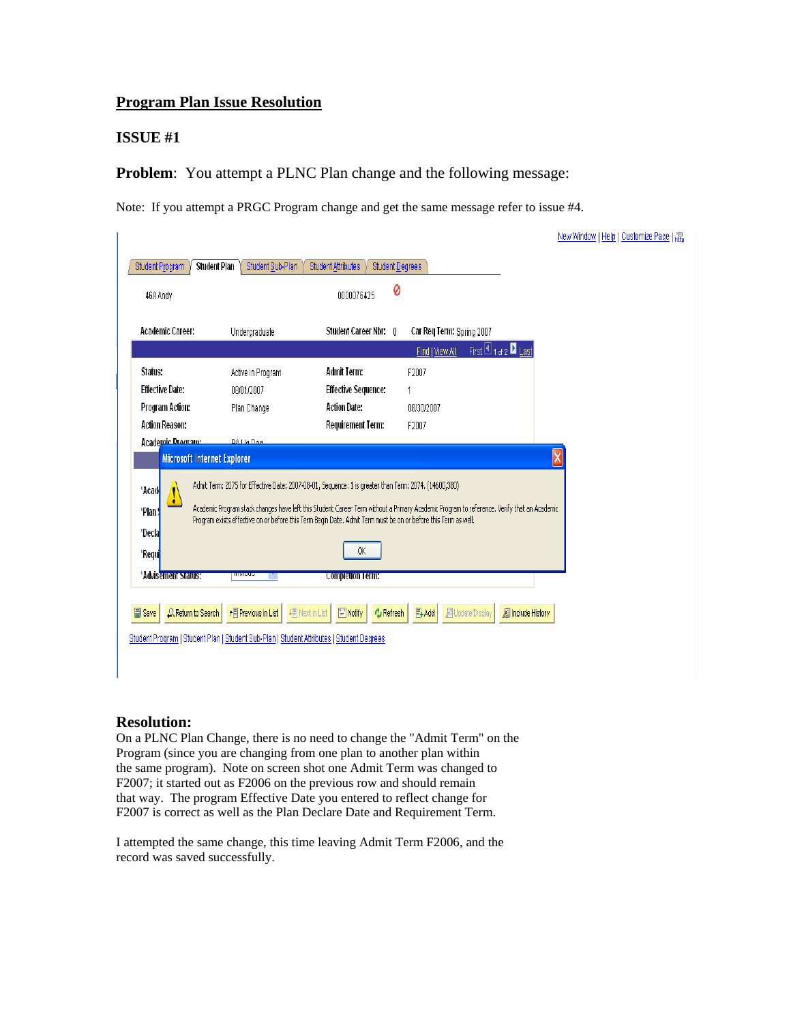## **Program Plan Issue Resolution**

#### **ISSUE #1**

**Problem:** You attempt a PLNC Plan change and the following message:

Note: If you attempt a PRGC Program change and get the same message refer to issue #4.

|                                            |                                                                                                                |                                                                                                                |                                                                                                                                            | New Window   Help   Customize Page   HEL |
|--------------------------------------------|----------------------------------------------------------------------------------------------------------------|----------------------------------------------------------------------------------------------------------------|--------------------------------------------------------------------------------------------------------------------------------------------|------------------------------------------|
| Student Program                            | Student Plan<br>Student Sub-Plan                                                                               | <b>Student Attributes</b><br><b>Student Degrees</b>                                                            |                                                                                                                                            |                                          |
| 46A Andy                                   |                                                                                                                | 0<br>0000076425                                                                                                |                                                                                                                                            |                                          |
| Academic Career:                           | Undergraduate                                                                                                  | Student Career Nbr: 0                                                                                          | Car Req Term: Spring 2007                                                                                                                  |                                          |
|                                            |                                                                                                                |                                                                                                                | First $\Box$ 1 of 2 $\Box$ Last<br>Find   View All                                                                                         |                                          |
| Status:                                    | Active in Program                                                                                              | <b>Admit Term:</b>                                                                                             | F2007                                                                                                                                      |                                          |
| <b>Effective Date:</b>                     | 08/01/2007                                                                                                     | <b>Effective Sequence:</b>                                                                                     |                                                                                                                                            |                                          |
| Program Action:                            | Plan Change                                                                                                    | <b>Action Date:</b>                                                                                            | 08/30/2007                                                                                                                                 |                                          |
| <b>Action Reason:</b>                      |                                                                                                                | Requirement Term:                                                                                              | F2007                                                                                                                                      |                                          |
| Microsoft Internet Explorer<br>*Acad<br>۰  |                                                                                                                | Admit Term: 2075 for Effective Date: 2007-08-01, Sequence: 1 is greater than Term: 2074. (14600,380)           |                                                                                                                                            | $\overline{\mathsf{x}}$                  |
| *Plan<br>*Decla                            |                                                                                                                | Program exists effective on or before this Term Begin Date. Admit Term must be on or before this Term as well. | Academic Program stack changes have left this Student Career Term without a Primary Academic Program to reference. Verify that an Academic |                                          |
| *Requi                                     |                                                                                                                | 0K                                                                                                             |                                                                                                                                            |                                          |
| *Advisement Status:                        | <b>HARASSE</b>                                                                                                 | <b>Completion Term:</b>                                                                                        |                                                                                                                                            |                                          |
| <b>日</b> Save<br><b>Q</b> Return to Search | ↑ Previous in List<br>Student Program   Student Plan   Student Sub-Plan   Student Attributes   Student Degrees | + Next in List<br>F Notify<br><b>心 Refresh</b>                                                                 | <b>图Add</b><br><b>图 Update/Display</b><br><b>图 Include History</b>                                                                         |                                          |

### **Resolution:**

On a PLNC Plan Change, there is no need to change the "Admit Term" on the Program (since you are changing from one plan to another plan within the same program). Note on screen shot one Admit Term was changed to F2007; it started out as F2006 on the previous row and should remain that way. The program Effective Date you entered to reflect change for F2007 is correct as well as the Plan Declare Date and Requirement Term.

I attempted the same change, this time leaving Admit Term F2006, and the record was saved successfully.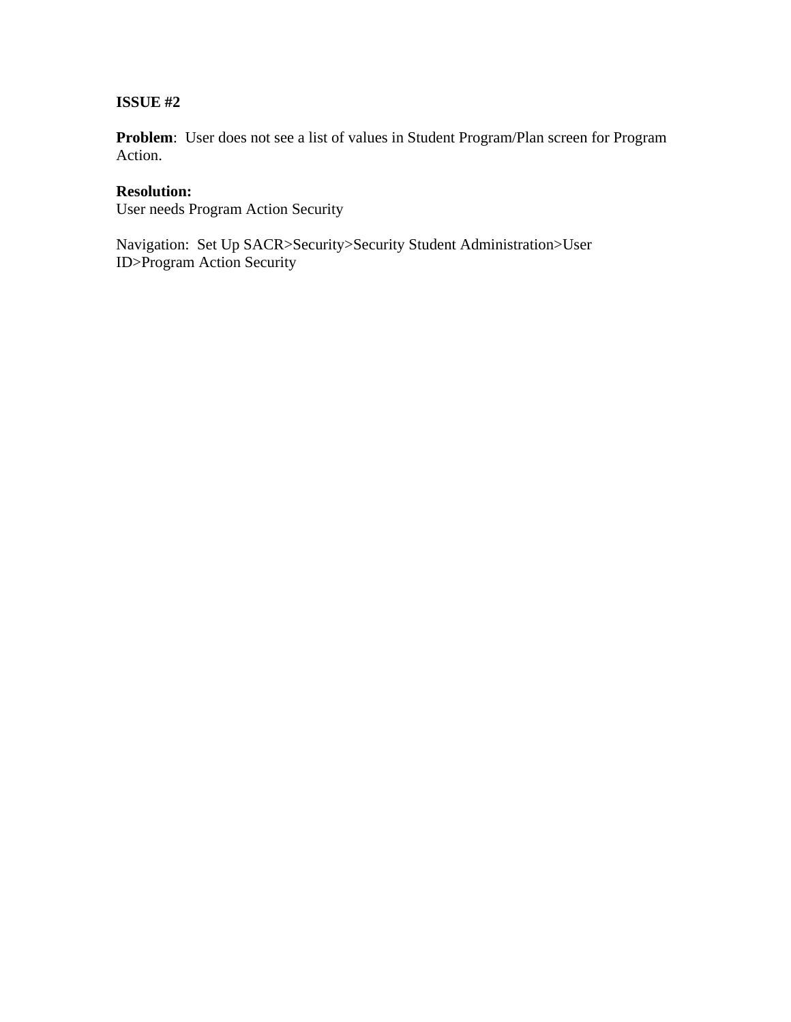**Problem**: User does not see a list of values in Student Program/Plan screen for Program Action.

# **Resolution:**

User needs Program Action Security

Navigation: Set Up SACR>Security>Security Student Administration>User ID>Program Action Security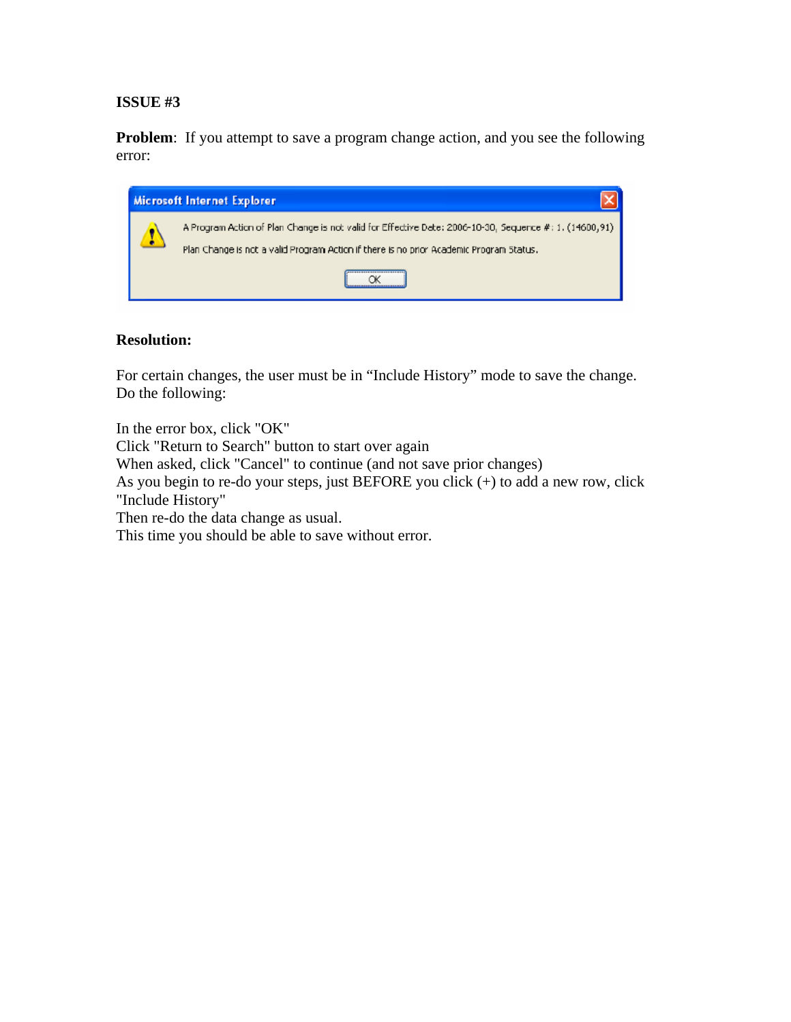**Problem**: If you attempt to save a program change action, and you see the following error:



## **Resolution:**

For certain changes, the user must be in "Include History" mode to save the change. Do the following:

In the error box, click "OK" Click "Return to Search" button to start over again When asked, click "Cancel" to continue (and not save prior changes) As you begin to re-do your steps, just BEFORE you click (+) to add a new row, click "Include History" Then re-do the data change as usual. This time you should be able to save without error.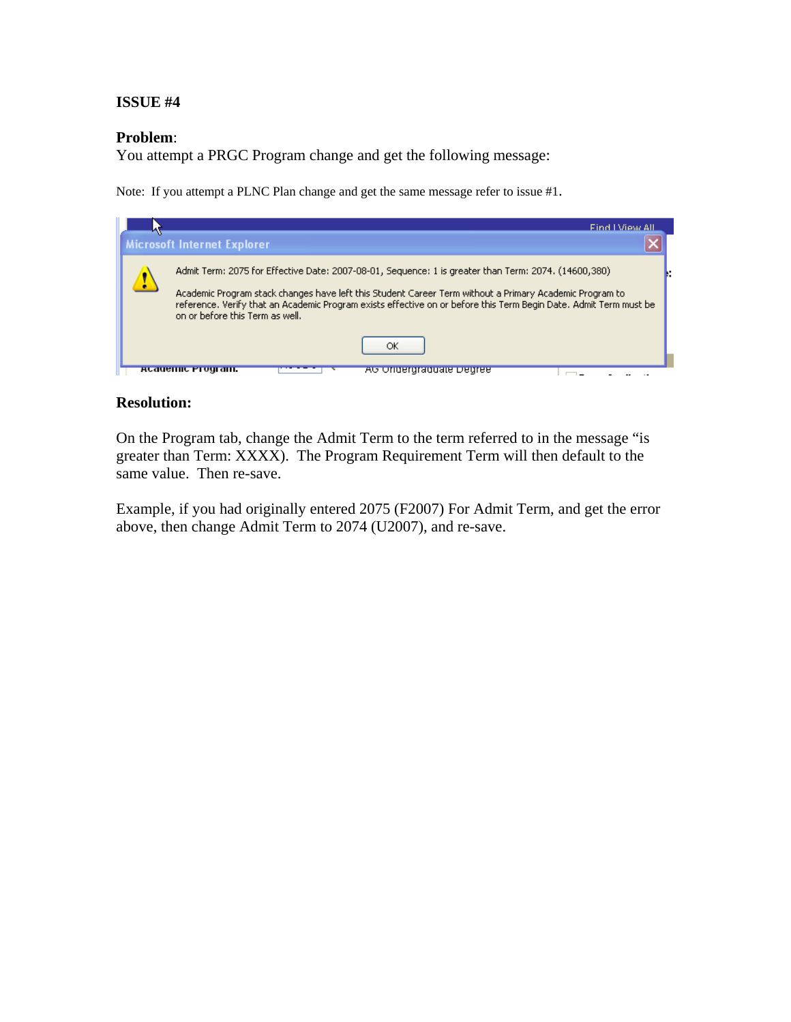#### **Problem**:

You attempt a PRGC Program change and get the following message:

Note: If you attempt a PLNC Plan change and get the same message refer to issue #1.



### **Resolution:**

On the Program tab, change the Admit Term to the term referred to in the message "is greater than Term: XXXX). The Program Requirement Term will then default to the same value. Then re-save.

Example, if you had originally entered 2075 (F2007) For Admit Term, and get the error above, then change Admit Term to 2074 (U2007), and re-save.